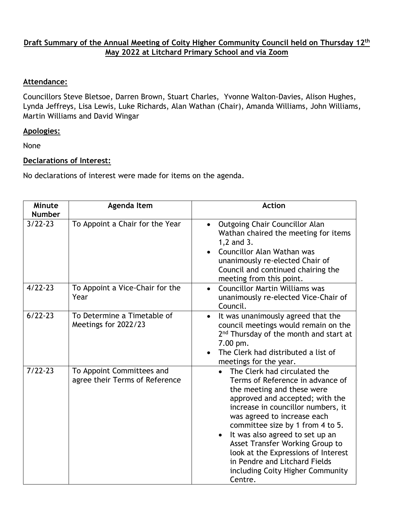## **Draft Summary of the Annual Meeting of Coity Higher Community Council held on Thursday 12th May 2022 at Litchard Primary School and via Zoom**

## **Attendance:**

Councillors Steve Bletsoe, Darren Brown, Stuart Charles, Yvonne Walton-Davies, Alison Hughes, Lynda Jeffreys, Lisa Lewis, Luke Richards, Alan Wathan (Chair), Amanda Williams, John Williams, Martin Williams and David Wingar

## **Apologies:**

None

## **Declarations of Interest:**

No declarations of interest were made for items on the agenda.

| <b>Minute</b><br><b>Number</b> | Agenda Item                                                 | <b>Action</b>                                                                                                                                                                                                                                                                                                                                                                                                                           |
|--------------------------------|-------------------------------------------------------------|-----------------------------------------------------------------------------------------------------------------------------------------------------------------------------------------------------------------------------------------------------------------------------------------------------------------------------------------------------------------------------------------------------------------------------------------|
| $3/22 - 23$                    | To Appoint a Chair for the Year                             | <b>Outgoing Chair Councillor Alan</b><br>$\bullet$<br>Wathan chaired the meeting for items<br>1,2 and 3.<br>Councillor Alan Wathan was<br>$\bullet$<br>unanimously re-elected Chair of<br>Council and continued chairing the<br>meeting from this point.                                                                                                                                                                                |
| $4/22 - 23$                    | To Appoint a Vice-Chair for the<br>Year                     | <b>Councillor Martin Williams was</b><br>$\bullet$<br>unanimously re-elected Vice-Chair of<br>Council.                                                                                                                                                                                                                                                                                                                                  |
| $6/22 - 23$                    | To Determine a Timetable of<br>Meetings for 2022/23         | It was unanimously agreed that the<br>$\bullet$<br>council meetings would remain on the<br>2 <sup>nd</sup> Thursday of the month and start at<br>7.00 pm.<br>The Clerk had distributed a list of<br>$\bullet$<br>meetings for the year.                                                                                                                                                                                                 |
| $7/22 - 23$                    | To Appoint Committees and<br>agree their Terms of Reference | The Clerk had circulated the<br>Terms of Reference in advance of<br>the meeting and these were<br>approved and accepted; with the<br>increase in councillor numbers, it<br>was agreed to increase each<br>committee size by 1 from 4 to 5.<br>It was also agreed to set up an<br>Asset Transfer Working Group to<br>look at the Expressions of Interest<br>in Pendre and Litchard Fields<br>including Coity Higher Community<br>Centre. |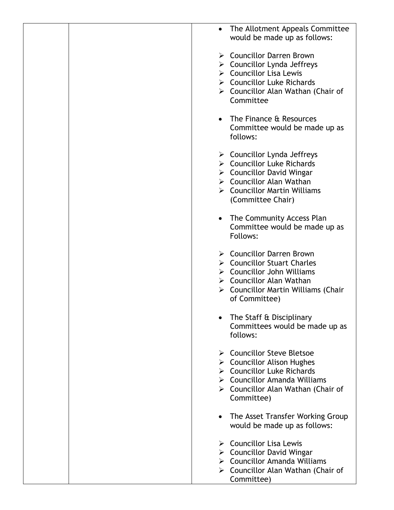|  | The Allotment Appeals Committee<br>$\bullet$<br>would be made up as follows:                                                                                                                                                           |
|--|----------------------------------------------------------------------------------------------------------------------------------------------------------------------------------------------------------------------------------------|
|  | ▶ Councillor Darren Brown<br>$\triangleright$ Councillor Lynda Jeffreys<br>$\triangleright$ Councillor Lisa Lewis<br>$\triangleright$ Councillor Luke Richards<br>$\triangleright$ Councillor Alan Wathan (Chair of<br>Committee       |
|  | The Finance & Resources<br>$\bullet$<br>Committee would be made up as<br>follows:                                                                                                                                                      |
|  | $\triangleright$ Councillor Lynda Jeffreys<br>$\triangleright$ Councillor Luke Richards<br>$\triangleright$ Councillor David Wingar<br>▶ Councillor Alan Wathan<br>$\triangleright$ Councillor Martin Williams<br>(Committee Chair)    |
|  | • The Community Access Plan<br>Committee would be made up as<br>Follows:                                                                                                                                                               |
|  | $\triangleright$ Councillor Darren Brown<br>▶ Councillor Stuart Charles<br>$\triangleright$ Councillor John Williams<br>$\triangleright$ Councillor Alan Wathan<br>$\triangleright$ Councillor Martin Williams (Chair<br>of Committee) |
|  | The Staff & Disciplinary<br>Committees would be made up as<br>follows:                                                                                                                                                                 |
|  | ▶ Councillor Steve Bletsoe<br>$\triangleright$ Councillor Alison Hughes<br>$\triangleright$ Councillor Luke Richards<br>$\triangleright$ Councillor Amanda Williams<br>$\triangleright$ Councillor Alan Wathan (Chair of<br>Committee) |
|  | The Asset Transfer Working Group<br>$\bullet$<br>would be made up as follows:                                                                                                                                                          |
|  | $\triangleright$ Councillor Lisa Lewis<br>$\triangleright$ Councillor David Wingar<br>$\triangleright$ Councillor Amanda Williams<br>$\triangleright$ Councillor Alan Wathan (Chair of<br>Committee)                                   |